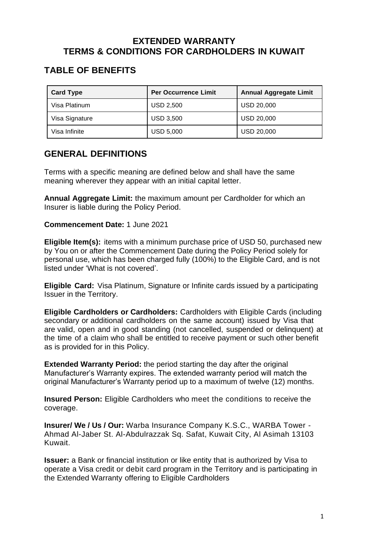## **EXTENDED WARRANTY TERMS & CONDITIONS FOR CARDHOLDERS IN KUWAIT**

# **TABLE OF BENEFITS**

| <b>Card Type</b> | <b>Per Occurrence Limit</b> | <b>Annual Aggregate Limit</b> |
|------------------|-----------------------------|-------------------------------|
| Visa Platinum    | <b>USD 2,500</b>            | <b>USD 20,000</b>             |
| Visa Signature   | <b>USD 3,500</b>            | <b>USD 20,000</b>             |
| Visa Infinite    | <b>USD 5,000</b>            | <b>USD 20,000</b>             |

## **GENERAL DEFINITIONS**

Terms with a specific meaning are defined below and shall have the same meaning wherever they appear with an initial capital letter.

**Annual Aggregate Limit:** the maximum amount per Cardholder for which an Insurer is liable during the Policy Period.

**Commencement Date:** 1 June 2021

**Eligible Item(s):** items with a minimum purchase price of USD 50, purchased new by You on or after the Commencement Date during the Policy Period solely for personal use, which has been charged fully (100%) to the Eligible Card, and is not listed under 'What is not covered'.

**Eligible Card:** Visa Platinum, Signature or Infinite cards issued by a participating Issuer in the Territory.

**Eligible Cardholders or Cardholders:** Cardholders with Eligible Cards (including secondary or additional cardholders on the same account) issued by Visa that are valid, open and in good standing (not cancelled, suspended or delinquent) at the time of a claim who shall be entitled to receive payment or such other benefit as is provided for in this Policy.

**Extended Warranty Period:** the period starting the day after the original Manufacturer's Warranty expires. The extended warranty period will match the original Manufacturer's Warranty period up to a maximum of twelve (12) months.

**Insured Person:** Eligible Cardholders who meet the conditions to receive the coverage.

**Insurer/ We / Us / Our:** Warba Insurance Company K.S.C., WARBA Tower - Ahmad Al-Jaber St. Al-Abdulrazzak Sq. Safat, Kuwait City, Al Asimah 13103 Kuwait.

**Issuer:** a Bank or financial institution or like entity that is authorized by Visa to operate a Visa credit or debit card program in the Territory and is participating in the Extended Warranty offering to Eligible Cardholders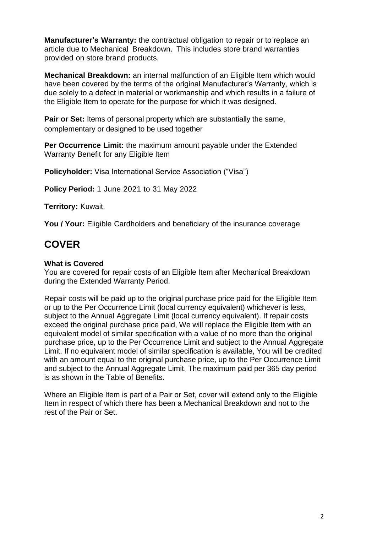**Manufacturer's Warranty:** the contractual obligation to repair or to replace an article due to Mechanical Breakdown. This includes store brand warranties provided on store brand products.

**Mechanical Breakdown:** an internal malfunction of an Eligible Item which would have been covered by the terms of the original Manufacturer's Warranty, which is due solely to a defect in material or workmanship and which results in a failure of the Eligible Item to operate for the purpose for which it was designed.

**Pair or Set:** Items of personal property which are substantially the same, complementary or designed to be used together

**Per Occurrence Limit:** the maximum amount payable under the Extended Warranty Benefit for any Eligible Item

**Policyholder:** Visa International Service Association ("Visa")

**Policy Period:** 1 June 2021 to 31 May 2022

**Territory:** Kuwait.

**You / Your:** Eligible Cardholders and beneficiary of the insurance coverage

# **COVER**

#### **What is Covered**

You are covered for repair costs of an Eligible Item after Mechanical Breakdown during the Extended Warranty Period.

Repair costs will be paid up to the original purchase price paid for the Eligible Item or up to the Per Occurrence Limit (local currency equivalent) whichever is less, subject to the Annual Aggregate Limit (local currency equivalent). If repair costs exceed the original purchase price paid, We will replace the Eligible Item with an equivalent model of similar specification with a value of no more than the original purchase price, up to the Per Occurrence Limit and subject to the Annual Aggregate Limit. If no equivalent model of similar specification is available, You will be credited with an amount equal to the original purchase price, up to the Per Occurrence Limit and subject to the Annual Aggregate Limit. The maximum paid per 365 day period is as shown in the Table of Benefits.

Where an Eligible Item is part of a Pair or Set, cover will extend only to the Eligible Item in respect of which there has been a Mechanical Breakdown and not to the rest of the Pair or Set.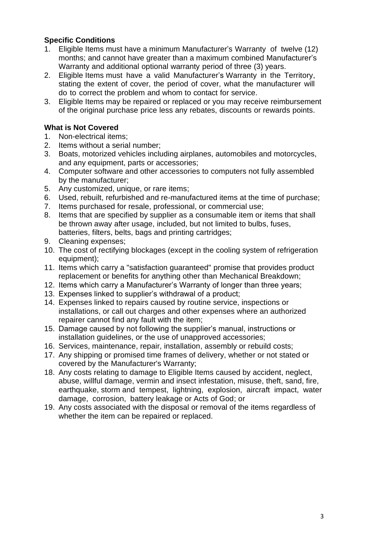### **Specific Conditions**

- 1. Eligible Items must have a minimum Manufacturer's Warranty of twelve (12) months; and cannot have greater than a maximum combined Manufacturer's Warranty and additional optional warranty period of three (3) years.
- 2. Eligible Items must have a valid Manufacturer's Warranty in the Territory, stating the extent of cover, the period of cover, what the manufacturer will do to correct the problem and whom to contact for service.
- 3. Eligible Items may be repaired or replaced or you may receive reimbursement of the original purchase price less any rebates, discounts or rewards points.

### **What is Not Covered**

- 1. Non-electrical items;<br>2. Items without a serial
- Items without a serial number;
- 3. Boats, motorized vehicles including airplanes, automobiles and motorcycles, and any equipment, parts or accessories;
- 4. Computer software and other accessories to computers not fully assembled by the manufacturer;
- 5. Any customized, unique, or rare items;
- 6. Used, rebuilt, refurbished and re-manufactured items at the time of purchase;
- 7. Items purchased for resale, professional, or commercial use;
- 8. Items that are specified by supplier as a consumable item or items that shall be thrown away after usage, included, but not limited to bulbs, fuses, batteries, filters, belts, bags and printing cartridges;
- 9. Cleaning expenses;
- 10. The cost of rectifying blockages (except in the cooling system of refrigeration equipment);
- 11. Items which carry a "satisfaction guaranteed" promise that provides product replacement or benefits for anything other than Mechanical Breakdown;
- 12. Items which carry a Manufacturer's Warranty of longer than three years;
- 13. Expenses linked to supplier's withdrawal of a product;
- 14. Expenses linked to repairs caused by routine service, inspections or installations, or call out charges and other expenses where an authorized repairer cannot find any fault with the item;
- 15. Damage caused by not following the supplier's manual, instructions or installation guidelines, or the use of unapproved accessories;
- 16. Services, maintenance, repair, installation, assembly or rebuild costs;
- 17. Any shipping or promised time frames of delivery, whether or not stated or covered by the Manufacturer's Warranty;
- 18. Any costs relating to damage to Eligible Items caused by accident, neglect, abuse, willful damage, vermin and insect infestation, misuse, theft, sand, fire, earthquake, storm and tempest, lightning, explosion, aircraft impact, water damage, corrosion, battery leakage or Acts of God; or
- 19. Any costs associated with the disposal or removal of the items regardless of whether the item can be repaired or replaced.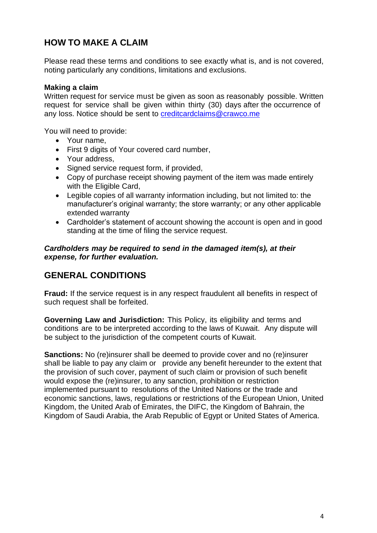# **HOW TO MAKE A CLAIM**

Please read these terms and conditions to see exactly what is, and is not covered, noting particularly any conditions, limitations and exclusions.

#### **Making a claim**

Written request for service must be given as soon as reasonably possible. Written request for service shall be given within thirty (30) days after the occurrence of any loss. Notice should be sent to **[creditcardclaims@crawco.me](mailto:creditcardclaims@crawco.me)** 

You will need to provide:

- Your name,
- First 9 digits of Your covered card number,
- Your address,
- Signed service request form, if provided,
- Copy of purchase receipt showing payment of the item was made entirely with the Eligible Card,
- Legible copies of all warranty information including, but not limited to: the manufacturer's original warranty; the store warranty; or any other applicable extended warranty
- Cardholder's statement of account showing the account is open and in good standing at the time of filing the service request.

#### *Cardholders may be required to send in the damaged item(s), at their expense, for further evaluation.*

## **GENERAL CONDITIONS**

**Fraud:** If the service request is in any respect fraudulent all benefits in respect of such request shall be forfeited.

**Governing Law and Jurisdiction:** This Policy, its eligibility and terms and conditions are to be interpreted according to the laws of Kuwait. Any dispute will be subject to the jurisdiction of the competent courts of Kuwait.

**Sanctions:** No (re)insurer shall be deemed to provide cover and no (re)insurer shall be liable to pay any claim or provide any benefit hereunder to the extent that the provision of such cover, payment of such claim or provision of such benefit would expose the (re)insurer, to any sanction, prohibition or restriction implemented pursuant to resolutions of the United Nations or the trade and economic sanctions, laws, regulations or restrictions of the European Union, United Kingdom, the United Arab of Emirates, the DIFC, the Kingdom of Bahrain, the Kingdom of Saudi Arabia, the Arab Republic of Egypt or United States of America.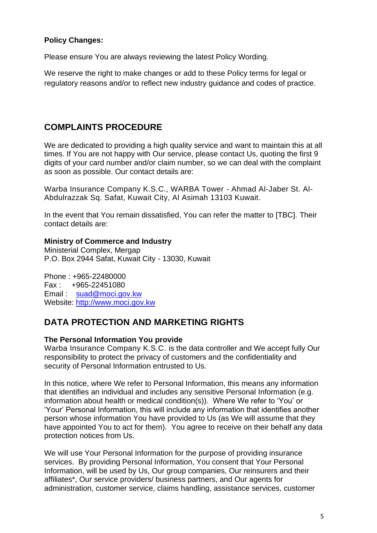### **Policy Changes:**

Please ensure You are always reviewing the latest Policy Wording.

We reserve the right to make changes or add to these Policy terms for legal or regulatory reasons and/or to reflect new industry guidance and codes of practice.

# **COMPLAINTS PROCEDURE**

We are dedicated to providing a high quality service and want to maintain this at all times. If You are not happy with Our service, please contact Us, quoting the first 9 digits of your card number and/or claim number, so we can deal with the complaint as soon as possible. Our contact details are:

Warba Insurance Company K.S.C., WARBA Tower - Ahmad Al-Jaber St. Al-Abdulrazzak Sq. Safat, Kuwait City, Al Asimah 13103 Kuwait.

In the event that You remain dissatisfied, You can refer the matter to [TBC]. Their contact details are:

#### **Ministry of Commerce and Industry**

Ministerial Complex, Mergap P.O. Box 2944 Safat, Kuwait City - 13030, Kuwait

Phone : +965-22480000 Fax : +965-22451080 Email: [suad@moci.gov.kw](http://www.moci.gov.kw/) Website: [http://www.moci.gov.kw](http://www.moci.gov.kw/)

## **DATA PROTECTION AND MARKETING RIGHTS**

#### **The Personal Information You provide**

Warba Insurance Company K.S.C. is the data controller and We accept fully Our responsibility to protect the privacy of customers and the confidentiality and security of Personal Information entrusted to Us.

In this notice, where We refer to Personal Information, this means any information that identifies an individual and includes any sensitive Personal Information (e.g. information about health or medical condition(s)). Where We refer to 'You' or 'Your' Personal Information, this will include any information that identifies another person whose information You have provided to Us (as We will assume that they have appointed You to act for them). You agree to receive on their behalf any data protection notices from Us.

We will use Your Personal Information for the purpose of providing insurance services. By providing Personal Information, You consent that Your Personal Information, will be used by Us, Our group companies, Our reinsurers and their affiliates\*, Our service providers/ business partners, and Our agents for administration, customer service, claims handling, assistance services, customer